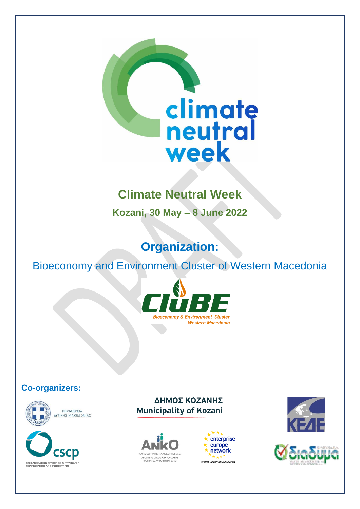

# **Climate Neutral Week**

**Kozani, 30 May – 8 June 2022**

# **Organization:**

Bioeconomy and Environment Cluster of Western Macedonia



#### **Co-organizers:**



**ΠΕΡΙΦΕΡΕΙΑ** ΔΥΤΙΚΗΣ ΜΑΚΕΔΟΝΙΑΣ



ΔΗΜΟΣ ΚΟΖΑΝΗΣ **Municipality of Kozani** 







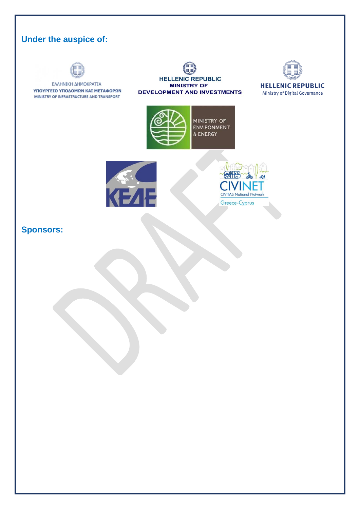# **Under the auspice of:**



### **Sponsors:**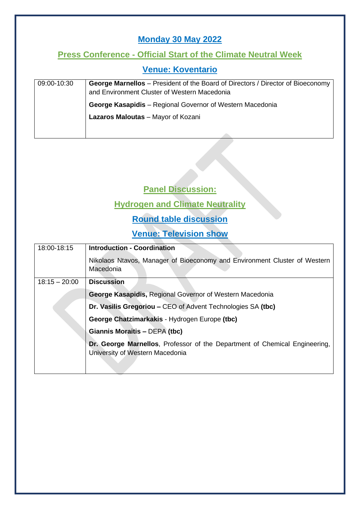### **Monday 30 May 2022**

#### **Press Conference - Official Start of the Climate Neutral Week**

#### **Venue: Koventario**

| 09:00-10:30 | <b>George Marnellos</b> – President of the Board of Directors / Director of Bioeconomy |
|-------------|----------------------------------------------------------------------------------------|
|             | and Environment Cluster of Western Macedonia                                           |
|             | <b>George Kasapidis</b> – Regional Governor of Western Macedonia                       |
|             | Lazaros Maloutas - Mayor of Kozani                                                     |
|             |                                                                                        |

#### **Panel Discussion:**

#### **Hydrogen and Climate Neutrality**

### **Round table discussion**

#### **Venue: Television show**

| 18:00-18:15     | <b>Introduction - Coordination</b>                                                                                   |
|-----------------|----------------------------------------------------------------------------------------------------------------------|
|                 | Nikolaos Ntavos, Manager of Bioeconomy and Environment Cluster of Western<br>Macedonia                               |
| $18:15 - 20:00$ | <b>Discussion</b>                                                                                                    |
|                 | <b>George Kasapidis, Regional Governor of Western Macedonia</b>                                                      |
|                 | Dr. Vasilis Gregoriou – CEO of Advent Technologies SA (tbc)                                                          |
|                 | George Chatzimarkakis - Hydrogen Europe (tbc)                                                                        |
|                 | <b>Giannis Moraitis - DEPA (tbc)</b>                                                                                 |
|                 | <b>Dr. George Marnellos, Professor of the Department of Chemical Engineering,</b><br>University of Western Macedonia |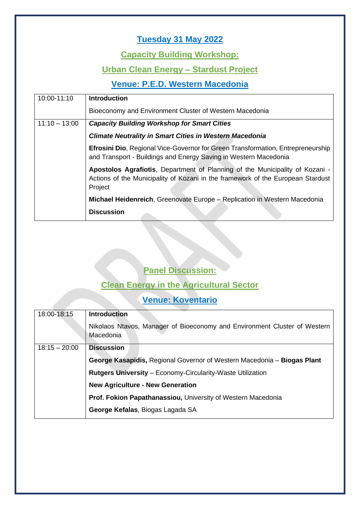# **Tuesday 31 May 2022**

#### **Capacity Building Workshop:**

#### **Urban Clean Energy – Stardust Project**

### **Venue: P.E.D. Western Macedonia**

| 10:00-11:10     | <b>Introduction</b>                                                                                                                                                        |
|-----------------|----------------------------------------------------------------------------------------------------------------------------------------------------------------------------|
|                 | Bioeconomy and Environment Cluster of Western Macedonia                                                                                                                    |
| $11:10 - 13:00$ | <b>Capacity Building Workshop for Smart Cities</b>                                                                                                                         |
|                 | <b>Climate Neutrality in Smart Cities in Western Macedonia</b>                                                                                                             |
|                 | <b>Efrosini Dio, Regional Vice-Governor for Green Transformation, Entrepreneurship</b><br>and Transport - Buildings and Energy Saving in Western Macedonia                 |
|                 | Apostolos Agrafiotis, Department of Planning of the Municipality of Kozani -<br>Actions of the Municipality of Kozani in the framework of the European Stardust<br>Project |
|                 | Michael Heidenreich, Greenovate Europe - Replication in Western Macedonia                                                                                                  |
|                 | <b>Discussion</b>                                                                                                                                                          |

# **Panel Discussion:**

# **Clean Energy in the Agricultural Sector**

| 18:00-18:15     | <b>Introduction</b>                                                                    |
|-----------------|----------------------------------------------------------------------------------------|
|                 | Nikolaos Ntavos, Manager of Bioeconomy and Environment Cluster of Western<br>Macedonia |
| $18:15 - 20:00$ | <b>Discussion</b>                                                                      |
|                 | George Kasapidis, Regional Governor of Western Macedonia - Biogas Plant                |
|                 | <b>Rutgers University - Economy-Circularity-Waste Utilization</b>                      |
|                 | <b>New Agriculture - New Generation</b>                                                |
|                 | Prof. Fokion Papathanassiou, University of Western Macedonia                           |
|                 | George Kefalas, Biogas Lagada SA                                                       |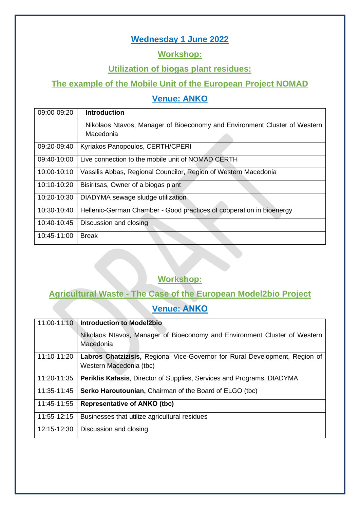### **Wednesday 1 June 2022**

#### **Workshop:**

#### **Utilization of biogas plant residues:**

#### **The example of the Mobile Unit of the European Project NOMAD**

### **Venue: ANKO**

| 09:00-09:20 | <b>Introduction</b>                                                       |
|-------------|---------------------------------------------------------------------------|
|             | Nikolaos Ntavos, Manager of Bioeconomy and Environment Cluster of Western |
|             | Macedonia                                                                 |
| 09:20-09:40 | Kyriakos Panopoulos, CERTH/CPERI                                          |
| 09:40-10:00 | Live connection to the mobile unit of NOMAD CERTH                         |
| 10:00-10:10 | Vassilis Abbas, Regional Councilor, Region of Western Macedonia           |
| 10:10-10:20 | Bisiritsas, Owner of a biogas plant                                       |
| 10:20-10:30 | DIADYMA sewage sludge utilization                                         |
| 10:30-10:40 | Hellenic-German Chamber - Good practices of cooperation in bioenergy      |
| 10:40-10:45 | Discussion and closing                                                    |
| 10:45-11:00 | <b>Break</b>                                                              |

# **Workshop:**

#### **Agricultural Waste - The Case of the European Model2bio Project**

#### **Venue: ΑΝΚΟ**

| 11:00-11:10 | <b>Introduction to Model2bio</b>                                                       |
|-------------|----------------------------------------------------------------------------------------|
|             | Nikolaos Ntavos, Manager of Bioeconomy and Environment Cluster of Western<br>Macedonia |
| 11:10-11:20 | Labros Chatzizisis, Regional Vice-Governor for Rural Development, Region of            |
|             | Western Macedonia (tbc)                                                                |
| 11:20-11:35 | <b>Periklis Kafasis, Director of Supplies, Services and Programs, DIADYMA</b>          |
| 11:35-11:45 | Serko Haroutounian, Chairman of the Board of ELGO (tbc)                                |
| 11:45-11:55 | <b>Representative of ANKO (tbc)</b>                                                    |
| 11:55-12:15 | Businesses that utilize agricultural residues                                          |
| 12:15-12:30 | Discussion and closing                                                                 |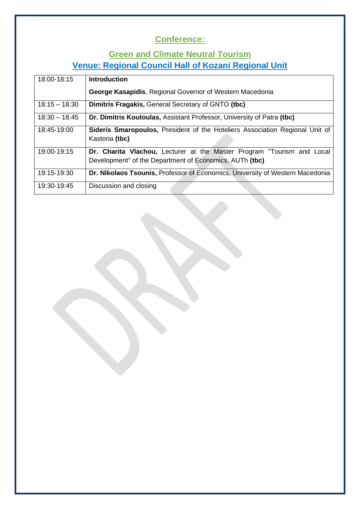# **Conference:**

# **Green and Climate Neutral Tourism Venue: Regional Council Hall of Kozani Regional Unit**

| 18:00-18:15     | <b>Introduction</b>                                                                                                               |
|-----------------|-----------------------------------------------------------------------------------------------------------------------------------|
|                 | <b>George Kasapidis, Regional Governor of Western Macedonia</b>                                                                   |
| $18:15 - 18:30$ | Dimitris Fragakis, General Secretary of GNTO (tbc)                                                                                |
| $18:30 - 18:45$ | Dr. Dimitris Koutoulas, Assistant Professor, University of Patra (tbc)                                                            |
| 18:45-19:00     | Sideris Smaropoulos, President of the Hoteliers Association Regional Unit of<br>Kastoria (tbc)                                    |
| 19:00-19:15     | Dr. Charita Vlachou, Lecturer at the Master Program "Tourism and Local<br>Development" of the Department of Economics, AUTh (tbc) |
| 19:15-19:30     | Dr. Nikolaos Tsounis, Professor of Economics, University of Western Macedonia                                                     |
| 19:30-19:45     | Discussion and closing                                                                                                            |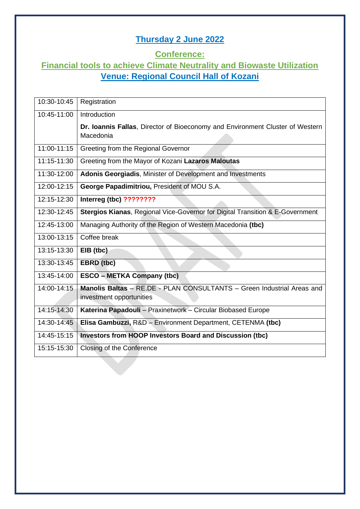# **Thursday 2 June 2022**

#### **Conference:**

### **Financial tools to achieve Climate Neutrality and Biowaste Utilization Venue: Regional Council Hall of Kozani**

| 10:30-10:45 | Registration                                                                               |
|-------------|--------------------------------------------------------------------------------------------|
| 10:45-11:00 | Introduction                                                                               |
|             | Dr. Ioannis Fallas, Director of Bioeconomy and Environment Cluster of Western<br>Macedonia |
| 11:00-11:15 | Greeting from the Regional Governor                                                        |
| 11:15-11:30 | Greeting from the Mayor of Kozani Lazaros Maloutas                                         |
| 11:30-12:00 | Adonis Georgiadis, Minister of Development and Investments                                 |
| 12:00-12:15 | George Papadimitriou, President of MOU S.A.                                                |
| 12:15-12:30 | Interreg (tbc) ????????                                                                    |
| 12:30-12:45 | Stergios Kianas, Regional Vice-Governor for Digital Transition & E-Government              |
| 12:45-13:00 | Managing Authority of the Region of Western Macedonia (tbc)                                |
| 13:00-13:15 | Coffee break                                                                               |
| 13:15-13:30 | EIB (tbc)                                                                                  |
| 13:30-13:45 | EBRD (tbc)                                                                                 |
| 13:45-14:00 | <b>ESCO - METKA Company (tbc)</b>                                                          |
| 14:00-14:15 | Manolis Baltas - RE.DE - PLAN CONSULTANTS - Green Industrial Areas and                     |
|             | investment opportunities                                                                   |
| 14:15-14:30 | Katerina Papadouli - Praxinetwork - Circular Biobased Europe                               |
| 14:30-14:45 | Elisa Gambuzzi, R&D - Environment Department, CETENMA (tbc)                                |
| 14:45-15:15 | Investors from HOOP Investors Board and Discussion (tbc)                                   |
| 15:15-15:30 | Closing of the Conference                                                                  |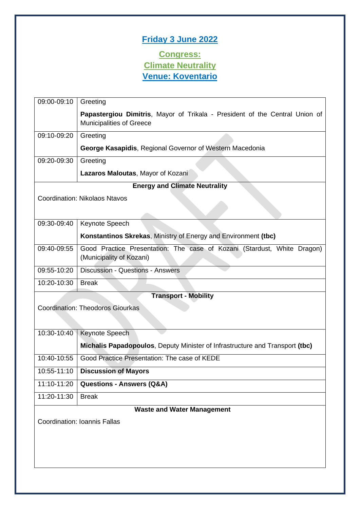# **Friday 3 June 2022**

### **Congress: Climate Neutrality Venue: Koventario**

| 09:00-09:10 | Greeting                                                                                                       |
|-------------|----------------------------------------------------------------------------------------------------------------|
|             | Papastergiou Dimitris, Mayor of Trikala - President of the Central Union of<br><b>Municipalities of Greece</b> |
| 09:10-09:20 | Greeting                                                                                                       |
|             | George Kasapidis, Regional Governor of Western Macedonia                                                       |
| 09:20-09:30 | Greeting                                                                                                       |
|             | Lazaros Maloutas, Mayor of Kozani                                                                              |
|             | <b>Energy and Climate Neutrality</b>                                                                           |
|             | <b>Coordination: Nikolaos Ntavos</b>                                                                           |
|             |                                                                                                                |
| 09:30-09:40 | Keynote Speech                                                                                                 |
|             | Konstantinos Skrekas, Ministry of Energy and Environment (tbc)                                                 |
| 09:40-09:55 | Good Practice Presentation: The case of Kozani (Stardust, White Dragon)                                        |
|             | (Municipality of Kozani)                                                                                       |
| 09:55-10:20 | <b>Discussion - Questions - Answers</b>                                                                        |
| 10:20-10:30 | <b>Break</b>                                                                                                   |
|             | <b>Transport - Mobility</b>                                                                                    |
|             | <b>Coordination: Theodoros Giourkas</b>                                                                        |
|             |                                                                                                                |
| 10:30-10:40 | Keynote Speech                                                                                                 |
|             | <b>Michalis Papadopoulos, Deputy Minister of Infrastructure and Transport (tbc)</b>                            |
| 10:40-10:55 | Good Practice Presentation: The case of KEDE                                                                   |
| 10:55-11:10 | <b>Discussion of Mayors</b>                                                                                    |
| 11:10-11:20 | <b>Questions - Answers (Q&amp;A)</b>                                                                           |
| 11:20-11:30 | <b>Break</b>                                                                                                   |
|             | <b>Waste and Water Management</b>                                                                              |
|             | <b>Coordination: Ioannis Fallas</b>                                                                            |
|             |                                                                                                                |
|             |                                                                                                                |
|             |                                                                                                                |
|             |                                                                                                                |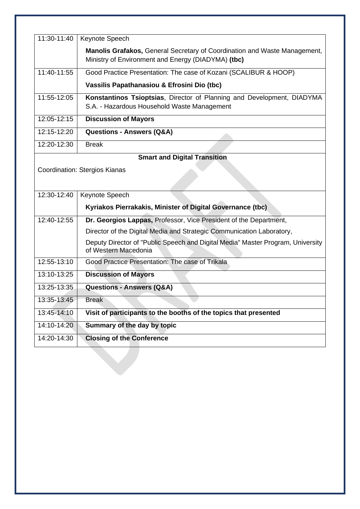| 11:30-11:40   | Keynote Speech                                                                                          |
|---------------|---------------------------------------------------------------------------------------------------------|
|               | <b>Manolis Grafakos, General Secretary of Coordination and Waste Management,</b>                        |
|               | Ministry of Environment and Energy (DIADYMA) (tbc)                                                      |
| $11:40-11:55$ | Good Practice Presentation: The case of Kozani (SCALIBUR & HOOP)                                        |
|               | Vassilis Papathanasiou & Efrosini Dio (tbc)                                                             |
| 11:55-12:05   | Konstantinos Tsioptsias, Director of Planning and Development, DIADYMA                                  |
|               | S.A. - Hazardous Household Waste Management                                                             |
| 12:05-12:15   | <b>Discussion of Mayors</b>                                                                             |
| 12:15-12:20   | <b>Questions - Answers (Q&amp;A)</b>                                                                    |
| 12:20-12:30   | <b>Break</b>                                                                                            |
|               | <b>Smart and Digital Transition</b>                                                                     |
|               | Coordination: Stergios Kianas                                                                           |
|               |                                                                                                         |
| 12:30-12:40   | Keynote Speech                                                                                          |
|               | Kyriakos Pierrakakis, Minister of Digital Governance (tbc)                                              |
|               |                                                                                                         |
| 12:40-12:55   | Dr. Georgios Lappas, Professor, Vice President of the Department,                                       |
|               | Director of the Digital Media and Strategic Communication Laboratory,                                   |
|               | Deputy Director of "Public Speech and Digital Media" Master Program, University<br>of Western Macedonia |
| 12:55-13:10   | Good Practice Presentation: The case of Trikala                                                         |
| 13:10-13:25   | <b>Discussion of Mayors</b>                                                                             |
| 13:25-13:35   | <b>Questions - Answers (Q&amp;A)</b>                                                                    |
| 13:35-13:45   | Break                                                                                                   |
| 13:45-14:10   | Visit of participants to the booths of the topics that presented                                        |
| 14:10-14:20   | Summary of the day by topic                                                                             |
| 14:20-14:30   | <b>Closing of the Conference</b>                                                                        |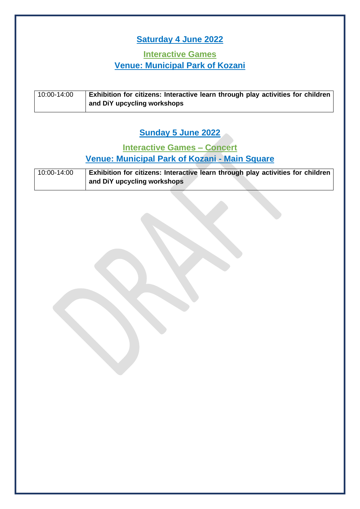# **Saturday 4 June 2022**

### **Interactive Games Venue: Municipal Park of Kozani**

| 10:00-14:00 | Exhibition for citizens: Interactive learn through play activities for children |
|-------------|---------------------------------------------------------------------------------|
|             | and DiY upcycling workshops                                                     |

# **Sunday 5 June 2022**

### **Interactive Games – Concert Venue: Municipal Park of Kozani - Main Square**

| 10:00-14:00 | Exhibition for citizens: Interactive learn through play activities for children |
|-------------|---------------------------------------------------------------------------------|
|             | and DiY upcycling workshops                                                     |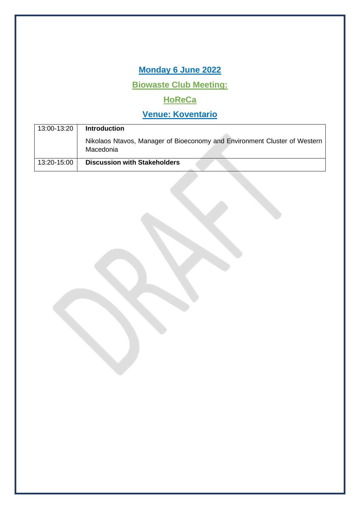**Monday 6 June 2022**

**Biowaste Club Meeting:** 

# **HoReCa**

| 13:00-13:20 | <b>Introduction</b>                                                                    |
|-------------|----------------------------------------------------------------------------------------|
|             | Nikolaos Ntavos, Manager of Bioeconomy and Environment Cluster of Western<br>Macedonia |
| 13:20-15:00 | <b>Discussion with Stakeholders</b>                                                    |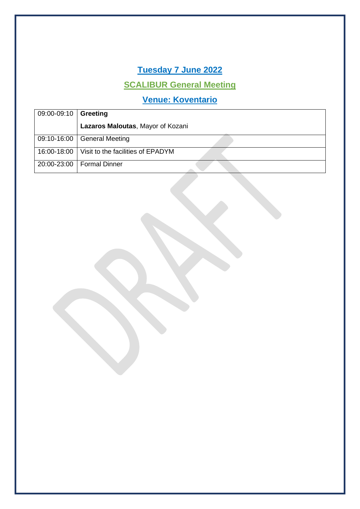# **Tuesday 7 June 2022**

# **SCALIBUR General Meeting**

| $09:00-09:10$ | Greeting                          |
|---------------|-----------------------------------|
|               | Lazaros Maloutas, Mayor of Kozani |
| 09:10-16:00   | <b>General Meeting</b>            |
| 16:00-18:00   | Visit to the facilities of EPADYM |
| 20:00-23:00   | <b>Formal Dinner</b>              |